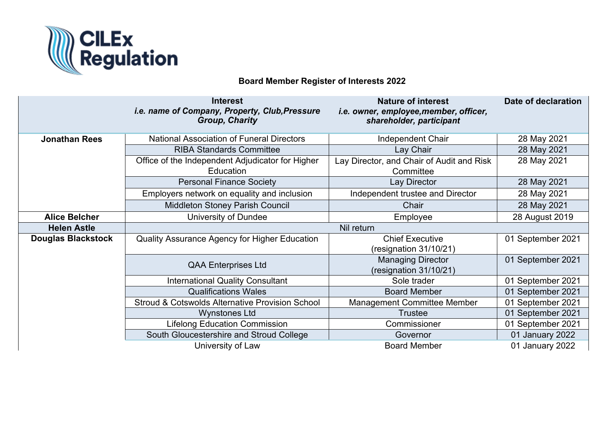

## **Board Member Register of Interests 2022**

|                           | <b>Interest</b><br>i.e. name of Company, Property, Club, Pressure<br><b>Group, Charity</b> | <b>Nature of interest</b><br>i.e. owner, employee, member, officer,<br>shareholder, participant | Date of declaration |
|---------------------------|--------------------------------------------------------------------------------------------|-------------------------------------------------------------------------------------------------|---------------------|
| <b>Jonathan Rees</b>      | <b>National Association of Funeral Directors</b>                                           | <b>Independent Chair</b>                                                                        | 28 May 2021         |
|                           | <b>RIBA Standards Committee</b>                                                            | Lay Chair                                                                                       | 28 May 2021         |
|                           | Office of the Independent Adjudicator for Higher<br>Education                              | Lay Director, and Chair of Audit and Risk<br>Committee                                          | 28 May 2021         |
|                           | <b>Personal Finance Society</b>                                                            | Lay Director                                                                                    | 28 May 2021         |
|                           | Employers network on equality and inclusion                                                | Independent trustee and Director                                                                | 28 May 2021         |
|                           | <b>Middleton Stoney Parish Council</b>                                                     | Chair                                                                                           | 28 May 2021         |
| <b>Alice Belcher</b>      | University of Dundee                                                                       | Employee                                                                                        | 28 August 2019      |
| <b>Helen Astle</b>        | Nil return                                                                                 |                                                                                                 |                     |
| <b>Douglas Blackstock</b> | Quality Assurance Agency for Higher Education                                              | <b>Chief Executive</b><br>(resignation 31/10/21)                                                | 01 September 2021   |
|                           | <b>QAA Enterprises Ltd</b>                                                                 | <b>Managing Director</b><br>(resignation 31/10/21)                                              | 01 September 2021   |
|                           | <b>International Quality Consultant</b>                                                    | Sole trader                                                                                     | 01 September 2021   |
|                           | <b>Qualifications Wales</b>                                                                | <b>Board Member</b>                                                                             | 01 September 2021   |
|                           | Stroud & Cotswolds Alternative Provision School                                            | <b>Management Committee Member</b>                                                              | 01 September 2021   |
|                           | <b>Wynstones Ltd</b>                                                                       | <b>Trustee</b>                                                                                  | 01 September 2021   |
|                           | <b>Lifelong Education Commission</b>                                                       | Commissioner                                                                                    | 01 September 2021   |
|                           | South Gloucestershire and Stroud College                                                   | Governor                                                                                        | 01 January 2022     |
|                           | University of Law                                                                          | <b>Board Member</b>                                                                             | 01 January 2022     |